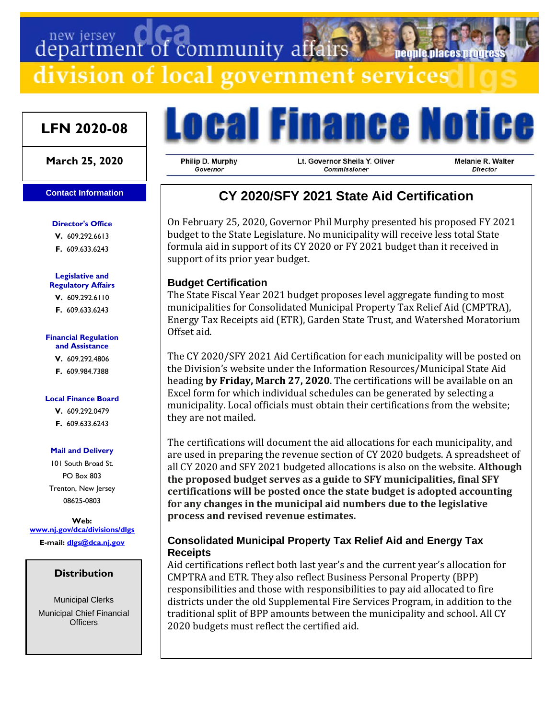# department of community affairs

division of local government services

## **LFN 2020-08**

#### **March 25, 2020**

#### **Contact Information**

#### **Director's Office**

**V.** 609.292.6613

**F.** 609.633.6243

#### **Legislative and Regulatory Affairs**

**V.** 609.292.6110 **F.** 609.633.6243

#### **Financial Regulation and Assistance**

**V.** 609.292.4806 **F.** 609.984.7388

#### **Local Finance Board**

**V.** 609.292.0479 **F.** 609.633.6243

#### **Mail and Delivery**

101 South Broad St. PO Box 803 Trenton, New Jersey 08625-0803

**Web: [www.nj.gov/dca/divisions/dlgs](http://www.nj.gov/dca/divisions/dlgs) E-mail: [dlgs@dca.nj.gov](mailto:dlgs@dca.nj.gov)**

## **Distribution**

Municipal Clerks Municipal Chief Financial **Officers** 



Philip D. Murphy Governor

Lt. Governor Sheila Y. Oliver Commissioner

Melanie R. Walter Director

**Deople.Diaces.hrou** 

# **CY 2020/SFY 2021 State Aid Certification**

On February 25, 2020, Governor Phil Murphy presented his proposed FY 2021 budget to the State Legislature. No municipality will receive less total State formula aid in support of its CY 2020 or FY 2021 budget than it received in support of its prior year budget.

## **Budget Certification**

The State Fiscal Year 2021 budget proposes level aggregate funding to most municipalities for Consolidated Municipal Property Tax Relief Aid (CMPTRA), Energy Tax Receipts aid (ETR), Garden State Trust, and Watershed Moratorium Offset aid.

The CY 2020/SFY 2021 Aid Certification for each municipality will be posted on the Division's website under the Information Resources/Municipal State Aid heading **by Friday, March 27, 2020**. The certifications will be available on an Excel form for which individual schedules can be generated by selecting a municipality. Local officials must obtain their certifications from the website; they are not mailed.

The certifications will document the aid allocations for each municipality, and are used in preparing the revenue section of CY 2020 budgets. A spreadsheet of all CY 2020 and SFY 2021 budgeted allocations is also on the website. **Although the proposed budget serves as a guide to SFY municipalities, final SFY certifications will be posted once the state budget is adopted accounting for any changes in the municipal aid numbers due to the legislative process and revised revenue estimates.**

## **Consolidated Municipal Property Tax Relief Aid and Energy Tax Receipts**

Aid certifications reflect both last year's and the current year's allocation for CMPTRA and ETR. They also reflect Business Personal Property (BPP) responsibilities and those with responsibilities to pay aid allocated to fire districts under the old Supplemental Fire Services Program, in addition to the traditional split of BPP amounts between the municipality and school. All CY 2020 budgets must reflect the certified aid.